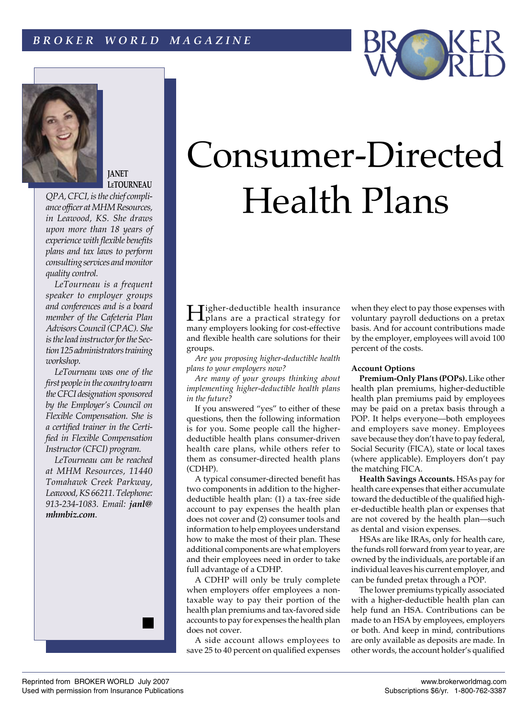## *B R O K E R W O R L D M A G A Z I N E*





## **JANET LeTOURNEAU**

*QPA,CFCI, isthe chief compliance officer at MHM Resources, in Leawood, KS. She draws upon more than 18 years of experience with flexible benefits plans and tax laws to perform consultingservices andmonitor quality control.*

 *LeTourneau is a frequent speaker to employer groups and conferences and is a board member of the Cafeteria Plan Advisors Council (CPAC). She* is the lead *instructor* for the Sec*tion125administratorstraining workshop.*

 *LeTourneau was one of the first people in the country to earn theCFCI designation sponsored by the Employer's Council on Flexible Compensation. She is a certified trainer in the Certified in Flexible Compensation Instructor(CFCI) program.*

 *LeTourneau can be reached at MHM Resources, 11440 Tomahawk Creek Parkway, Leawood,KS66211.Telephone: 913-234-1083. Email: janl@ mhmbiz.com*.



Higher-deductible health insurance plans are a practical strategy for many employers looking for cost-effective and flexible health care solutions for their groups.

 *Are you proposing higher-deductible health plans to your employers now?*

 *Are many of your groups thinking about implementing higher-deductible health plans in the future?*

If you answered "yes" to either of these questions, then the following information is for you. Some people call the higherdeductible health plans consumer-driven health care plans, while others refer to them as consumer-directed health plans (CDHP).

A typical consumer-directed benefit has two components in addition to the higherdeductible health plan: (1) a tax-free side account to pay expenses the health plan does not cover and (2) consumer tools and information to help employees understand how to make the most of their plan. These additional components are what employers and their employees need in order to take full advantage of a CDHP.

A CDHP will only be truly complete when employers offer employees a nontaxable way to pay their portion of the health plan premiums and tax-favored side accounts to pay for expenses the health plan does not cover.

A side account allows employees to save 25 to 40 percent on qualified expenses when they elect to pay those expenses with voluntary payroll deductions on a pretax basis. And for account contributions made by the employer, employees will avoid 100 percent of the costs.

## **Account Options**

**Premium-Only Plans (POPs).** Like other health plan premiums, higher-deductible health plan premiums paid by employees may be paid on a pretax basis through a POP. It helps everyone—both employees and employers save money. Employees save because they don't have to pay federal, Social Security (FICA), state or local taxes (where applicable). Employers don't pay the matching FICA.

**Health Savings Accounts.** HSAs pay for health care expenses that either accumulate toward the deductible of the qualified higher-deductible health plan or expenses that are not covered by the health plan—such as dental and vision expenses.

HSAs are like IRAs, only for health care, the funds roll forward from year to year, are owned by the individuals, are portable if an individual leaves his current employer, and can be funded pretax through a POP.

The lower premiums typically associated with a higher-deductible health plan can help fund an HSA. Contributions can be made to an HSA by employees, employers or both. And keep in mind, contributions are only available as deposits are made. In other words, the account holder's qualified